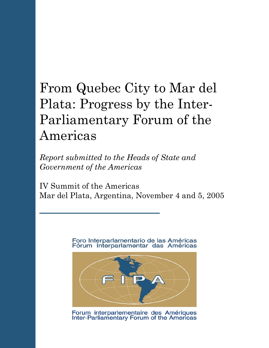# From Quebec City to Mar del Plata: Progress by the Inter-Parliamentary Forum of the Americas

*Report submitted to the Heads of State and Government of the Americas*

IV Summit of the Americas Mar del Plata, Argentina, November 4 and 5, 2005

> Foro Interparlamentario de las Américas Fórum Interparlamentar das Américas



Forum interparlementaire des Amériques<br>Inter-Parliamentary Forum of the Americas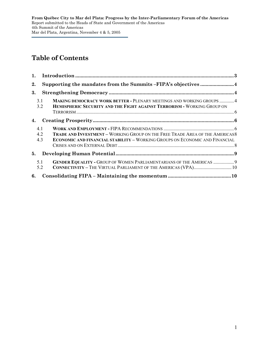# **Table of Contents**

| 1.                |                                                                                                                                                                           |  |  |
|-------------------|---------------------------------------------------------------------------------------------------------------------------------------------------------------------------|--|--|
| 2.                |                                                                                                                                                                           |  |  |
| 3.                |                                                                                                                                                                           |  |  |
| 3.1<br>3.2        | <b>MAKING DEMOCRACY WORK BETTER - PLENARY MEETINGS AND WORKING GROUPS  4</b><br>HEMISPHERIC SECURITY AND THE FIGHT AGAINST TERRORISM - WORKING GROUP ON                   |  |  |
| 4.                |                                                                                                                                                                           |  |  |
| 4.1<br>4.2<br>4.3 | <b>TRADE AND INVESTMENT - WORKING GROUP ON THE FREE TRADE AREA OF THE AMERICAS8</b><br><b>ECONOMIC AND FINANCIAL STABILITY - WORKING GROUPS ON ECONOMIC AND FINANCIAL</b> |  |  |
| 5.                |                                                                                                                                                                           |  |  |
| 5.1<br>5.2        | GENDER EQUALITY - GROUP OF WOMEN PARLIAMENTARIANS OF THE AMERICAS  9<br>CONNECTIVITY - THE VIRTUAL PARLIAMENT OF THE AMERICAS (VPA) 10                                    |  |  |
| 6.                |                                                                                                                                                                           |  |  |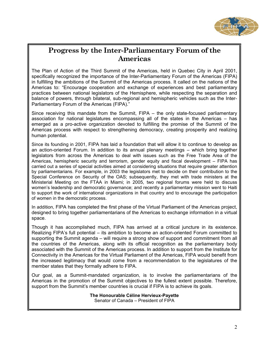

# **Progress by the Inter-Parliamentary Forum of the Americas**

The Plan of Action of the Third Summit of the Americas, held in Quebec City in April 2001, specifically recognized the importance of the Inter-Parliamentary Forum of the Americas (FIPA) in fulfilling the ambitions of the Summit of the Americas process. It called on the nations of the Americas to: "Encourage cooperation and exchange of experiences and best parliamentary practices between national legislators of the Hemisphere, while respecting the separation and balance of powers, through bilateral, sub-regional and hemispheric vehicles such as the Inter-Parliamentary Forum of the Americas (FIPA)."

Since receiving this mandate from the Summit, FIPA – the only state-focused parliamentary association for national legislatures encompassing all of the states in the Americas – has emerged as a pro-active organization devoted to fulfilling the promise of the Summit of the Americas process with respect to strengthening democracy, creating prosperity and realizing human potential.

Since its founding in 2001, FIPA has laid a foundation that will allow it to continue to develop as an action-oriented Forum. In addition to its annual plenary meetings – which bring together legislators from across the Americas to deal with issues such as the Free Trade Area of the Americas, hemispheric security and terrorism, gender equity and fiscal development – FIPA has carried out a series of special activities aimed at considering situations that require greater attention by parliamentarians. For example, in 2003 the legislators met to decide on their contribution to the Special Conference on Security of the OAS; subsequently, they met with trade ministers at the Ministerial Meeting on the FTAA in Miami; in 2005, two regional forums were held to discuss women's leadership and democratic governance; and recently a parliamentary mission went to Haiti to support the work of international organizations in that country and to encourage the participation of women in the democratic process.

In addition, FIPA has completed the first phase of the Virtual Parliament of the Americas project, designed to bring together parliamentarians of the Americas to exchange information in a virtual space.

Though it has accomplished much, FIPA has arrived at a critical juncture in its existence. Realizing FIPA's full potential – its ambition to become an action-oriented Forum committed to supporting the Summit agenda – will require a strong show of support and commitment from all the countries of the Americas, along with its official recognition as the parliamentary body associated with the Summit of the Americas process. In addition to support from the Institute for Connectivity in the Americas for the Virtual Parliament of the Americas, FIPA would benefit from the increased legitimacy that would come from a recommendation to the legislatures of the member states that they formally adhere to FIPA.

Our goal, as a Summit-mandated organization, is to involve the parliamentarians of the Americas in the promotion of the Summit objectives to the fullest extent possible. Therefore, support from the Summit's member countries is crucial if FIPA is to achieve its goals.

> **The Honourable Céline Hervieux-Payette**  Senator of Canada – President of FIPA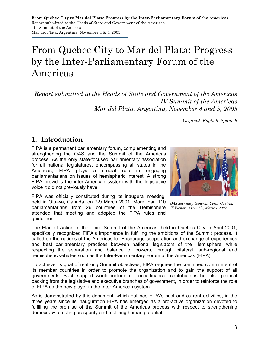# From Quebec City to Mar del Plata: Progress by the Inter-Parliamentary Forum of the Americas

*Report submitted to the Heads of State and Government of the Americas IV Summit of the Americas Mar del Plata, Argentina, November 4 and 5, 2005* 

*Original: English–Spanish* 

## **1. Introduction**

FIPA is a permanent parliamentary forum, complementing and strengthening the OAS and the Summit of the Americas process. As the only state-focused parliamentary association for all national legislatures, encompassing all states in the Americas, FIPA plays a crucial role in engaging parliamentarians on issues of hemispheric interest. A strong FIPA provides the inter-American system with the legislative voice it did not previously have.

FIPA was officially constituted during its inaugural meeting, held in Ottawa, Canada, on 7-9 March 2001. More than 110 parliamentarians from 26 countries of the Hemisphere attended that meeting and adopted the FIPA rules and guidelines.



*OAS Secretary General, Cesar Gaviria, 1st Plenary Assembly, Mexico, 2002* 

The Plan of Action of the Third Summit of the Americas, held in Quebec City in April 2001, specifically recognized FIPA's importance in fulfilling the ambitions of the Summit process. It called on the nations of the Americas to "Encourage cooperation and exchange of experiences and best parliamentary practices between national legislators of the Hemisphere, while respecting the separation and balance of powers, through bilateral, sub-regional and hemispheric vehicles such as the Inter-Parliamentary Forum of the Americas (FIPA)."

To achieve its goal of realizing Summit objectives, FIPA requires the continued commitment of its member countries in order to promote the organization and to gain the support of all governments. Such support would include not only financial contributions but also political backing from the legislative and executive branches of government, in order to reinforce the role of FIPA as the new player in the Inter-American system.

As is demonstrated by this document, which outlines FIPA's past and current activities, in the three years since its inauguration FIPA has emerged as a pro-active organization devoted to fulfilling the promise of the Summit of the Americas process with respect to strengthening democracy, creating prosperity and realizing human potential.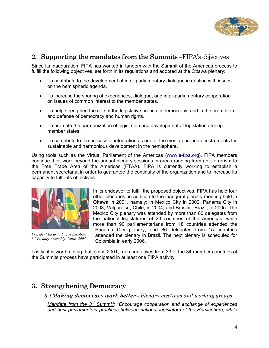

#### **2. Supporting the mandates from the Summits –**FIPA's objectives

Since its inauguration, FIPA has worked in tandem with the Summit of the Americas process to fulfill the following objectives, set forth in its regulations and adopted at the Ottawa plenary:

- To contribute to the development of inter-parliamentary dialogue in dealing with issues on the hemispheric agenda.
- To increase the sharing of experiences, dialogue, and inter-parliamentary cooperation on issues of common interest to the member states.
- To help strengthen the role of the legislative branch in democracy, and in the promotion and defense of democracy and human rights.
- To promote the harmonization of legislation and development of legislation among member states.
- To contribute to the process of integration as one of the most appropriate instruments for sustainable and harmonious development in the hemisphere.

Using tools such as the Virtual Parliament of the Americas (www.e-fipa.org), FIPA members continue their work beyond the annual plenary sessions in areas ranging from anti-terrorism to the Free Trade Area of the Americas (FTAA). FIPA is currently working to establish a permanent secretariat in order to guarantee the continuity of the organization and to increase its capacity to fulfill its objectives.



*President Ricardo Lagos Escobar, 3rd Plenary Assembly, Chile, 2004*

In its endeavor to fulfill the proposed objectives, FIPA has held four other plenaries, in addition to the inaugural plenary meeting held in Ottawa in 2001, namely: in Mexico City in 2002, Panama City in 2003, Valparaiso, Chile, in 2004, and Brasilia, Brazil, in 2005. The Mexico City plenary was attended by more than 80 delegates from the national legislatures of 23 countries of the Americas, while more than 90 parliamentarians from 18 countries attended the Panama City plenary, and 86 delegates from 15 countries attended the plenary in Brazil. The next plenary is scheduled for Colombia in early 2006.

Lastly, it is worth noting that, since 2001, representatives from 33 of the 34 member countries of the Summits process have participated in at least one FIPA activity.

## **3. Strengthening Democracy**

*3.1Making democracy work better - Plenary meetings and working groups* 

*Mandate from the 3rd Summii t: "Encourage cooperation and exchange of experiences and best parliamentary practices between national legislators of the Hemisphere, while*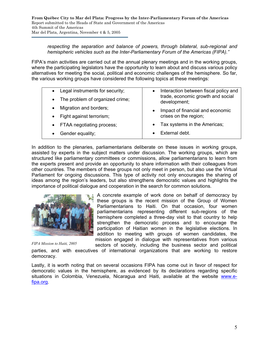#### *respecting the separation and balance of powers, through bilateral, sub-regional and hemispheric vehicles such as the Inter-Parliamentary Forum of the Americas (FIPA)."*

FIPA's main activities are carried out at the annual plenary meetings and in the working groups, where the participating legislators have the opportunity to learn about and discuss various policy alternatives for meeting the social, political and economic challenges of the hemisphere. So far, the various working groups have considered the following topics at these meetings:

| Legal instruments for security;<br>$\bullet$ | Interaction between fiscal policy and<br>trade, economic growth and social<br>development;<br>Impact of financial and economic<br>crises on the region; |
|----------------------------------------------|---------------------------------------------------------------------------------------------------------------------------------------------------------|
| • The problem of organized crime;            |                                                                                                                                                         |
| Migration and borders;                       |                                                                                                                                                         |
| Fight against terrorism;                     |                                                                                                                                                         |
| FTAA negotiating process;                    | Tax systems in the Americas;                                                                                                                            |
| Gender equality;                             | External debt.                                                                                                                                          |

In addition to the plenaries, parliamentarians deliberate on these issues in working groups, assisted by experts in the subject matters under discussion. The working groups, which are structured like parliamentary committees or commissions, allow parliamentarians to learn from the experts present and provide an opportunity to share information with their colleagues from other countries. The members of these groups not only meet in person, but also use the Virtual Parliament for ongoing discussions. This type of activity not only encourages the sharing of ideas among the region's leaders, but also strengthens democratic values and highlights the importance of political dialogue and cooperation in the search for common solutions.



*FIPA Mission to Haiti, 2005*

A concrete example of work done on behalf of democracy by these groups is the recent mission of the Group of Women Parliamentarians to Haiti. On that occasion, four women parliamentarians representing different sub-regions of the hemisphere completed a three-day visit to that country to help strengthen the democratic process and to encourage the participation of Haitian women in the legislative elections. In addition to meeting with groups of women candidates, the mission engaged in dialogue with representatives from various sectors of society, including the business sector and political

parties, and with executives of international organizations that are working to restore democracy.

Lastly, it is worth noting that on several occasions FIPA has come out in favor of respect for democratic values in the hemisphere, as evidenced by its declarations regarding specific situations in Colombia, Venezuela, Nicaragua and Haiti, available at the website www.efipa.org.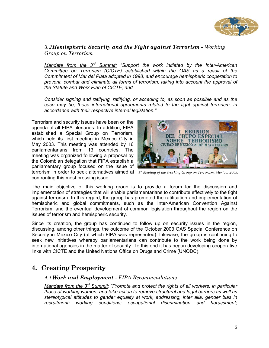

*3.2Hemispheric Security and the Fight against Terrorism - Working Group on Terrorism* 

*Mandate from the 3rd Summit: "Support the work initiated by the Inter-American Committee on Terrorism (CICTE) established within the OAS as a result of the Commitment of Mar del Plata adopted in 1998, and encourage hemispheric cooperation to prevent, combat and eliminate all forms of terrorism, taking into account the approval of the Statute and Work Plan of CICTE; and* 

*Consider signing and ratifying, ratifying, or acceding to, as soon as possible and as the case may be, those international agreements related to the fight against terrorism, in accordance with their respective internal legislation."* 

terrorism in order to seek alternatives aimed at *1<sup>st</sup> Meeting of the Working Group on Terrorism, Mexico, 2003.* Terrorism and security issues have been on the agenda of all FIPA plenaries. In addition, FIPA established a Special Group on Terrorism, which held its first meeting in Mexico City in May 2003. This meeting was attended by 16 parliamentarians from 13 countries. The meeting was organized following a proposal by the Colombian delegation that FIPA establish a parliamentary group focused on the issue of confronting this most pressing issue.



The main objective of this working group is to provide a forum for the discussion and implementation of strategies that will enable parliamentarians to contribute effectively to the fight against terrorism. In this regard, the group has promoted the ratification and implementation of hemispheric and global commitments, such as the Inter-American Convention Against Terrorism, and the eventual development of common legislation throughout the region on the issues of terrorism and hemispheric security.

Since its creation, the group has continued to follow up on security issues in the region, discussing, among other things, the outcome of the October 2003 OAS Special Conference on Security in Mexico City (at which FIPA was represented). Likewise, the group is continuing to seek new initiatives whereby parliamentarians can contribute to the work being done by international agencies in the matter of security. To this end it has begun developing cooperative links with CICTE and the United Nations Office on Drugs and Crime (UNODC).

## **4. Creating Prosperity**

#### *4.1Work and Employment - FIPA Recommendations*

*Mandate from the 3rd Summit: "Promote and protect the rights of all workers, in particular those of working women, and take action to remove structural and legal barriers as well as stereotypical attitudes to gender equality at work, addressing, inter alia, gender bias in recruitment; working conditions; occupational discrimination and harassment;*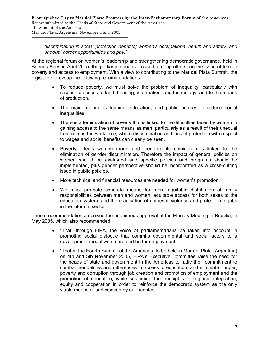*discrimination in social protection benefits; women's occupational health and safety; and unequal career opportunities and pay;"* 

At the regional forum on women's leadership and strengthening democratic governance, held in Buenos Aires in April 2005, the parliamentarians focused, among others, on the issue of female poverty and access to employment. With a view to contributing to the Mar del Plata Summit, the legislators drew up the following recommendations:

- To reduce poverty, we must solve the problem of inequality, particularly with respect to access to land, housing, information, and technology, and to the means of production.
- The main avenue is training, education, and public policies to reduce social inequalities.
- There is a feminization of poverty that is linked to the difficulties faced by women in gaining access to the same means as men, particularly as a result of their unequal treatment in the workforce, where discrimination and lack of protection with respect to wages and social benefits can clearly be seen.
- Poverty affects women more, and therefore its elimination is linked to the elimination of gender discrimination. Therefore the impact of general policies on women should be evaluated and specific policies and programs should be implemented, plus gender perspective should be incorporated as a cross-cutting issue in public policies.
- More technical and financial resources are needed for women's promotion.
- We must promote concrete means for more equitable distribution of family responsibilities between men and women; equitable access for both sexes to the education system; and the eradication of domestic violence and protection of jobs in the informal sector.

These recommendations received the unanimous approval of the Plenary Meeting in Brasilia, in May 2005, which also recommended:

- "That, through FIPA, the voice of parliamentarians be taken into account in promoting social dialogue that commits governmental and social actors to a development model with more and better employment."
- "That at the Fourth Summit of the Americas, to be held in Mar del Plata (Argentina) on 4th and 5th November 2005, FIPA's Executive Committee raise the need for the heads of state and government in the Americas to ratify their commitment to combat inequalities and differences in access to education, and eliminate hunger, poverty and corruption through job creation and promotion of employment and the promotion of education, while sustaining the principles of regional integration, equity and cooperation in order to reinforce the democratic system as the only viable means of participation by our peoples."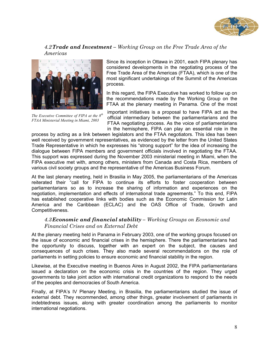

#### *4.2Trade and Investment – Working Group on the Free Trade Area of the Americas*



*The Executive Committee of FIPA at the 8th FTAA Ministerial Meeting in Miami, 2003*

Since its inception in Ottawa in 2001, each FIPA plenary has considered developments in the negotiating process of the Free Trade Area of the Americas (FTAA), which is one of the most significant undertakings of the Summit of the Americas process.

In this regard, the FIPA Executive has worked to follow up on the recommendations made by the Working Group on the FTAA at the plenary meeting in Panama. One of the most

important initiatives is a proposal to have FIPA act as the official intermediary between the parliamentarians and the FTAA negotiating process. As the voice of parliamentarians in the hemisphere, FIPA can play an essential role in the

process by acting as a link between legislators and the FTAA negotiators. This idea has been well received by government representatives, as evidenced by the letter from the United States Trade Representative in which he expresses his "strong support" for the idea of increasing the dialogue between FIPA members and government officials involved in negotiating the FTAA. This support was expressed during the November 2003 ministerial meeting in Miami, when the FIPA executive met with, among others, ministers from Canada and Costa Rica, members of various civil society groups and the representative of the Americas Business Forum.

At the last plenary meeting, held in Brasilia in May 2005, the parliamentarians of the Americas reiterated their "call for FIPA to continue its efforts to foster cooperation between parliamentarians so as to increase the sharing of information and experiences on the negotiation, implementation and effects of international trade agreements." To this end, FIPA has established cooperative links with bodies such as the Economic Commission for Latin America and the Caribbean (ECLAC) and the OAS Office of Trade, Growth and Competitiveness.

#### *4.3Economic and financial stability – Working Groups on Economic and Financial Crises and on External Debt*

At the plenary meeting held in Panama in February 2003, one of the working groups focused on the issue of economic and financial crises in the hemisphere. There the parliamentarians had the opportunity to discuss, together with an expert on the subject, the causes and consequences of such crises. They also made several recommendations on the role of parliaments in setting policies to ensure economic and financial stability in the region.

Likewise, at the Executive meeting in Buenos Aires in August 2002, the FIPA parliamentarians issued a declaration on the economic crisis in the countries of the region. They urged governments to take joint action with international credit organizations to respond to the needs of the peoples and democracies of South America.

Finally, at FIPA's IV Plenary Meeting, in Brasilia, the parliamentarians studied the issue of external debt. They recommended, among other things, greater involvement of parliaments in indebtedness issues, along with greater coordination among the parliaments to monitor international negotiations.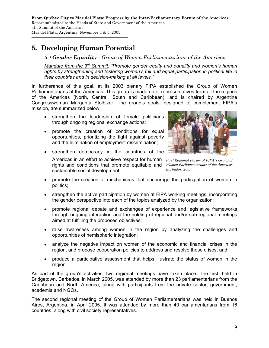# **5. Developing Human Potential**

*5.1Gender Equality - Group of Women Parliamentarians of the Americas* 

*Mandate from the 3rd Summit: "Promote gender equity and equality and women's human rights by strengthening and fostering women's full and equal participation in political life in their countries and in decision-making at all levels."* 

In furtherance of this goal, at its 2003 plenary FIPA established the Group of Women Parliamentarians of the Americas. This group is made up of representatives from all the regions of the Americas (North, Central, South and Caribbean), and is chaired by Argentine Congresswoman Margarita Stolbizer. The group's goals, designed to complement FIPA's mission, are summarized below:

- strengthen the leadership of female politicians through ongoing regional exchange actions;
- promote the creation of conditions for equal opportunities, prioritizing the fight against poverty and the elimination of employment discrimination;

• strengthen democracy in the countries of the

sustainable social development;

*First Regional Forum of FIPA's Group of Women Parliamentarians of the Americas, Barbados, 2005*  Americas in an effort to achieve respect for human rights and conditions that promote equitable and

- promote the creation of mechanisms that encourage the participation of women in politics;
- strengthen the active participation by women at FIPA working meetings, incorporating the gender perspective into each of the topics analyzed by the organization;
- promote regional debate and exchanges of experience and legislative frameworks through ongoing interaction and the holding of regional and/or sub-regional meetings aimed at fulfilling the proposed objectives;
- raise awareness among women in the region by analyzing the challenges and opportunities of hemispheric integration;
- analyze the negative impact on women of the economic and financial crises in the region, and propose cooperation policies to address and resolve those crises; and
- produce a participative assessment that helps illustrate the status of women in the region.

As part of the group's activities, two regional meetings have taken place. The first, held in Bridgetown, Barbados, in March 2005, was attended by more than 23 parliamentarians from the Caribbean and North America, along with participants from the private sector, government, academia and NGOs.

The second regional meeting of the Group of Women Parliamentarians was held in Buenos Aires, Argentina, in April 2005. It was attended by more than 40 parliamentarians from 16 countries, along with civil society representatives.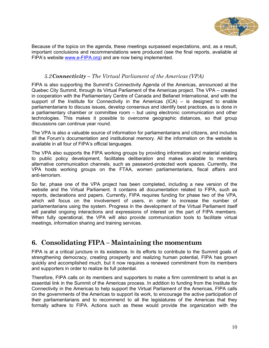

Because of the topics on the agenda, these meetings surpassed expectations, and, as a result, important conclusions and recommendations were produced (see the final reports, available at FIPA's website www.e-FIPA.org) and are now being implemented.

#### *5.2Connectivity – The Virtual Parliament of the Americas (VPA)*

FIPA is also supporting the Summit's Connectivity Agenda of the Americas, announced at the Quebec City Summit, through its Virtual Parliament of the Americas project. The VPA – created in cooperation with the Parliamentary Centre of Canada and Bellanet International, and with the support of the Institute for Connectivity in the Americas  $(ICA) - is$  designed to enable parliamentarians to discuss issues, develop consensus and identify best practices, as is done in a parliamentary chamber or committee room – but using electronic communication and other technologies. This makes it possible to overcome geographic distances, so that group discussions can continue year round.

The VPA is also a valuable source of information for parliamentarians and citizens, and includes all the Forum's documentation and institutional memory. All the information on the website is available in all four of FIPA's official languages.

The VPA also supports the FIPA working groups by providing information and material relating to public policy development, facilitates deliberation and makes available to members alternative communication channels, such as password-protected work spaces. Currently, the VPA hosts working groups on the FTAA, women parliamentarians, fiscal affairs and anti-terrorism.

So far, phase one of the VPA project has been completed, including a new version of the website and the Virtual Parliament. It contains all documentation related to FIPA, such as reports, declarations and papers. Currently, FIPA requires funding for phase two of the VPA, which will focus on the involvement of users, in order to increase the number of parliamentarians using the system. Progress in the development of the Virtual Parliament itself will parallel ongoing interactions and expressions of interest on the part of FIPA members. When fully operational, the VPA will also provide communication tools to facilitate virtual meetings, information sharing and training services.

## **6. Consolidating FIPA – Maintaining the momentum**

FIPA is at a critical juncture in its existence. In its efforts to contribute to the Summit goals of strengthening democracy, creating prosperity and realizing human potential, FIPA has grown quickly and accomplished much, but it now requires a renewed commitment from its members and supporters in order to realize its full potential.

Therefore, FIPA calls on its members and supporters to make a firm commitment to what is an essential link in the Summit of the Americas process. In addition to funding from the Institute for Connectivity in the Americas to help support the Virtual Parliament of the Americas, FIPA calls on the governments of the Americas to support its work, to encourage the active participation of their parliamentarians and to recommend to all the legislatures of the Americas that they formally adhere to FIPA. Actions such as these would provide the organization with the